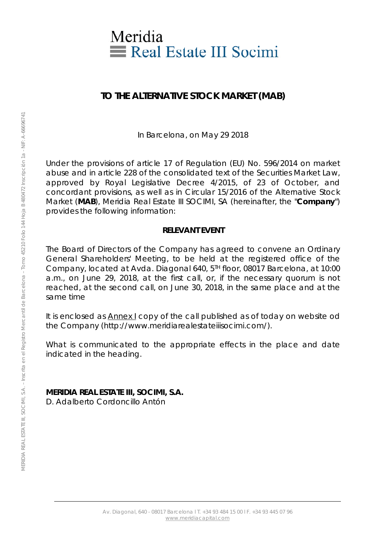

## **TO THE ALTERNATIVE STOCK MARKET (MAB)**

In Barcelona, on May 29 2018

Under the provisions of article 17 of Regulation (EU) No. 596/2014 on market abuse and in article 228 of the consolidated text of the Securities Market Law, approved by Royal Legislative Decree 4/2015, of 23 of October, and concordant provisions, as well as in Circular 15/2016 of the Alternative Stock Market (**MAB**), Meridia Real Estate III SOCIMI, SA (hereinafter, the "**Company**") provides the following information:

#### **RELEVANT EVENT**

The Board of Directors of the Company has agreed to convene an Ordinary General Shareholders' Meeting, to be held at the registered office of the Company, located at Avda. Diagonal 640, 5TH floor, 08017 Barcelona, at 10:00 a.m., on June 29, 2018, at the first call, or, if the necessary quorum is not reached, at the second call, on June 30, 2018, in the same place and at the same time

It is enclosed as Annex I copy of the call published as of today on website od the Company (http://www.meridiarealestateiiisocimi.com/).

What is communicated to the appropriate effects in the place and date indicated in the heading.

**MERIDIA REAL ESTATE III, SOCIMI, S.A.**  D. Adalberto Cordoncillo Antón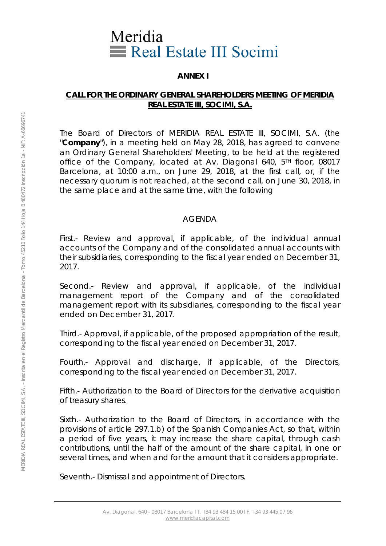## Meridia Real Estate III Socimi

#### **ANNEX I**

#### **CALL FOR THE ORDINARY GENERAL SHAREHOLDERS MEETING OF MERIDIA REAL ESTATE III, SOCIMI, S.A.**

The Board of Directors of MERIDIA REAL ESTATE III, SOCIMI, S.A. (the "**Company**"), in a meeting held on May 28, 2018, has agreed to convene an Ordinary General Shareholders' Meeting, to be held at the registered office of the Company, located at Av. Diagonal 640, 5<sup>TH</sup> floor, 08017 Barcelona, at 10:00 a.m., on June 29, 2018, at the first call, or, if the necessary quorum is not reached, at the second call, on June 30, 2018, in the same place and at the same time, with the following

#### AGENDA

First.- Review and approval, if applicable, of the individual annual accounts of the Company and of the consolidated annual accounts with their subsidiaries, corresponding to the fiscal year ended on December 31, 2017.

Second.- Review and approval, if applicable, of the individual management report of the Company and of the consolidated management report with its subsidiaries, corresponding to the fiscal year ended on December 31, 2017.

Third.- Approval, if applicable, of the proposed appropriation of the result, corresponding to the fiscal year ended on December 31, 2017.

Fourth.- Approval and discharge, if applicable, of the Directors, corresponding to the fiscal year ended on December 31, 2017.

Fifth.- Authorization to the Board of Directors for the derivative acquisition of treasury shares.

Sixth.- Authorization to the Board of Directors, in accordance with the provisions of article 297.1.b) of the Spanish Companies Act, so that, within a period of five years, it may increase the share capital, through cash contributions, until the half of the amount of the share capital, in one or several times, and when and for the amount that it considers appropriate.

Seventh.- Dismissal and appointment of Directors.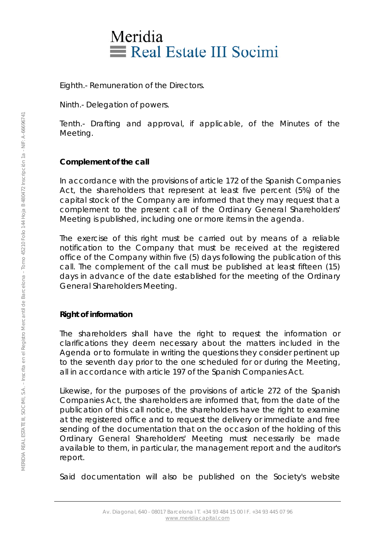# Meridia Real Estate III Socimi

Eighth.- Remuneration of the Directors.

Ninth.- Delegation of powers.

Tenth.- Drafting and approval, if applicable, of the Minutes of the Meeting.

## **Complement of the call**

In accordance with the provisions of article 172 of the Spanish Companies Act, the shareholders that represent at least five percent (5%) of the capital stock of the Company are informed that they may request that a complement to the present call of the Ordinary General Shareholders' Meeting is published, including one or more items in the agenda.

The exercise of this right must be carried out by means of a reliable notification to the Company that must be received at the registered office of the Company within five (5) days following the publication of this call. The complement of the call must be published at least fifteen (15) days in advance of the date established for the meeting of the Ordinary General Shareholders Meeting.

## **Right of information**

The shareholders shall have the right to request the information or clarifications they deem necessary about the matters included in the Agenda or to formulate in writing the questions they consider pertinent up to the seventh day prior to the one scheduled for or during the Meeting, all in accordance with article 197 of the Spanish Companies Act.

Likewise, for the purposes of the provisions of article 272 of the Spanish Companies Act, the shareholders are informed that, from the date of the publication of this call notice, the shareholders have the right to examine at the registered office and to request the delivery or immediate and free sending of the documentation that on the occasion of the holding of this Ordinary General Shareholders' Meeting must necessarily be made available to them, in particular, the management report and the auditor's report.

Said documentation will also be published on the Society's website